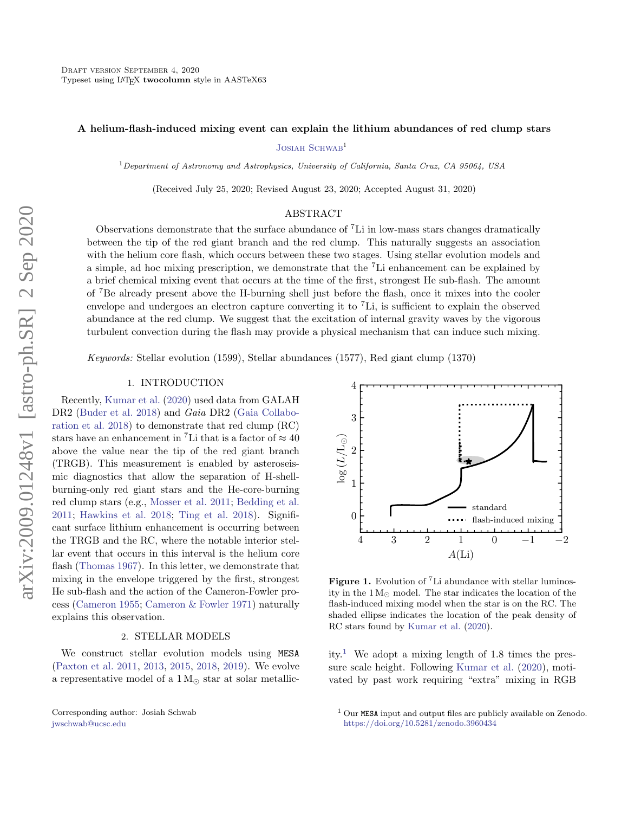### A helium-flash-induced mixing event can explain the lithium abundances of red clump stars

JOSIAH SCHWAB<sup>1</sup>

 $1$ Department of Astronomy and Astrophysics, University of California, Santa Cruz, CA 95064, USA

(Received July 25, 2020; Revised August 23, 2020; Accepted August 31, 2020)

### ABSTRACT

Observations demonstrate that the surface abundance of <sup>7</sup>Li in low-mass stars changes dramatically between the tip of the red giant branch and the red clump. This naturally suggests an association with the helium core flash, which occurs between these two stages. Using stellar evolution models and a simple, ad hoc mixing prescription, we demonstrate that the <sup>7</sup>Li enhancement can be explained by a brief chemical mixing event that occurs at the time of the first, strongest He sub-flash. The amount of <sup>7</sup>Be already present above the H-burning shell just before the flash, once it mixes into the cooler envelope and undergoes an electron capture converting it to <sup>7</sup>Li, is sufficient to explain the observed abundance at the red clump. We suggest that the excitation of internal gravity waves by the vigorous turbulent convection during the flash may provide a physical mechanism that can induce such mixing.

Keywords: Stellar evolution (1599), Stellar abundances (1577), Red giant clump (1370)

# 1. INTRODUCTION

Recently, [Kumar et al.](#page-5-0) [\(2020\)](#page-5-0) used data from GALAH DR2 [\(Buder et al.](#page-5-1) [2018\)](#page-5-1) and Gaia DR2 [\(Gaia Collabo](#page-5-2)[ration et al.](#page-5-2) [2018\)](#page-5-2) to demonstrate that red clump (RC) stars have an enhancement in <sup>7</sup>Li that is a factor of  $\approx 40$ above the value near the tip of the red giant branch (TRGB). This measurement is enabled by asteroseismic diagnostics that allow the separation of H-shellburning-only red giant stars and the He-core-burning red clump stars (e.g., [Mosser et al.](#page-5-3) [2011;](#page-5-3) [Bedding et al.](#page-5-4) [2011;](#page-5-4) [Hawkins et al.](#page-5-5) [2018;](#page-5-5) [Ting et al.](#page-5-6) [2018\)](#page-5-6). Significant surface lithium enhancement is occurring between the TRGB and the RC, where the notable interior stellar event that occurs in this interval is the helium core flash [\(Thomas](#page-5-7) [1967\)](#page-5-7). In this letter, we demonstrate that mixing in the envelope triggered by the first, strongest He sub-flash and the action of the Cameron-Fowler process [\(Cameron](#page-5-8) [1955;](#page-5-8) [Cameron & Fowler](#page-5-9) [1971\)](#page-5-9) naturally explains this observation.

### 2. STELLAR MODELS

We construct stellar evolution models using MESA [\(Paxton et al.](#page-5-10) [2011,](#page-5-10) [2013,](#page-5-11) [2015,](#page-5-12) [2018,](#page-5-13) [2019\)](#page-5-14). We evolve a representative model of a  $1 M_{\odot}$  star at solar metallic-

Corresponding author: Josiah Schwab [jwschwab@ucsc.edu](mailto: jwschwab@ucsc.edu)



<span id="page-0-1"></span>Figure 1. Evolution of <sup>7</sup>Li abundance with stellar luminosity in the  $1 M_{\odot}$  model. The star indicates the location of the flash-induced mixing model when the star is on the RC. The shaded ellipse indicates the location of the peak density of RC stars found by [Kumar et al.](#page-5-0) [\(2020\)](#page-5-0).

ity.<sup>[1](#page-0-0)</sup> We adopt a mixing length of 1.8 times the pressure scale height. Following [Kumar et al.](#page-5-0) [\(2020\)](#page-5-0), motivated by past work requiring "extra" mixing in RGB

<span id="page-0-0"></span><sup>1</sup> Our MESA input and output files are publicly available on Zenodo. <https://doi.org/10.5281/zenodo.3960434>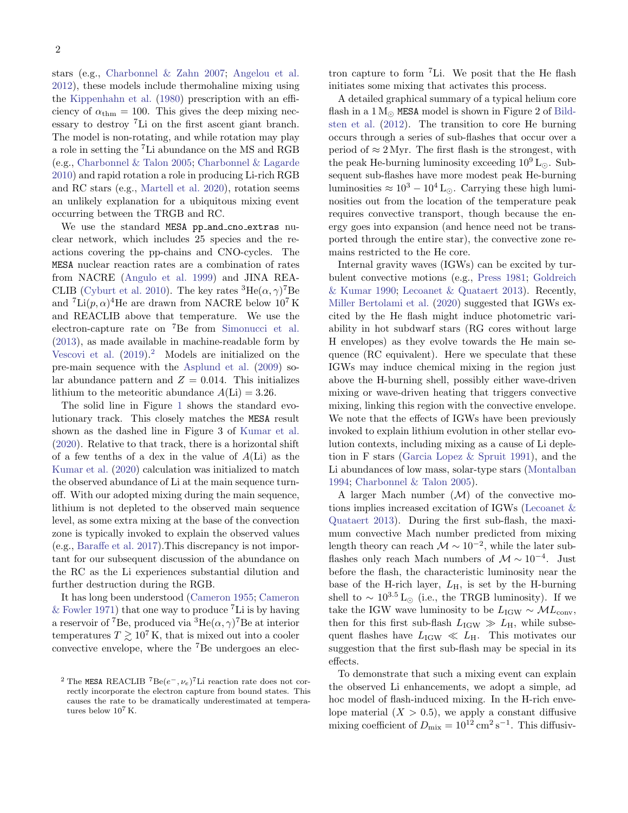stars (e.g., [Charbonnel & Zahn](#page-5-15) [2007;](#page-5-15) [Angelou et al.](#page-5-16) [2012\)](#page-5-16), these models include thermohaline mixing using the [Kippenhahn et al.](#page-5-17) [\(1980\)](#page-5-17) prescription with an efficiency of  $\alpha_{\text{thm}} = 100$ . This gives the deep mixing necessary to destroy <sup>7</sup>Li on the first ascent giant branch. The model is non-rotating, and while rotation may play a role in setting the <sup>7</sup>Li abundance on the MS and RGB (e.g., [Charbonnel & Talon](#page-5-18) [2005;](#page-5-18) [Charbonnel & Lagarde](#page-5-19) [2010\)](#page-5-19) and rapid rotation a role in producing Li-rich RGB and RC stars (e.g., [Martell et al.](#page-5-20) [2020\)](#page-5-20), rotation seems an unlikely explanation for a ubiquitous mixing event occurring between the TRGB and RC.

We use the standard MESA pp\_and\_cno\_extras nuclear network, which includes 25 species and the reactions covering the pp-chains and CNO-cycles. The MESA nuclear reaction rates are a combination of rates from NACRE [\(Angulo et al.](#page-5-21) [1999\)](#page-5-21) and JINA REA-CLIB [\(Cyburt et al.](#page-5-22) [2010\)](#page-5-22). The key rates  ${}^{3}$ He $(\alpha, \gamma)$ <sup>7</sup>Be and  ${}^{7}\text{Li}(p, \alpha){}^{4}\text{He}$  are drawn from NACRE below  $10^{7}\text{K}$ and REACLIB above that temperature. We use the electron-capture rate on <sup>7</sup>Be from [Simonucci et al.](#page-5-23) [\(2013\)](#page-5-23), as made available in machine-readable form by [Vescovi et al.](#page-5-24)  $(2019)^2$  $(2019)^2$  $(2019)^2$  Models are initialized on the pre-main sequence with the [Asplund et al.](#page-5-25) [\(2009\)](#page-5-25) solar abundance pattern and  $Z = 0.014$ . This initializes lithium to the meteoritic abundance  $A(Li) = 3.26$ .

The solid line in Figure [1](#page-0-1) shows the standard evolutionary track. This closely matches the MESA result shown as the dashed line in Figure 3 of [Kumar et al.](#page-5-0) [\(2020\)](#page-5-0). Relative to that track, there is a horizontal shift of a few tenths of a dex in the value of  $A(Li)$  as the [Kumar et al.](#page-5-0) [\(2020\)](#page-5-0) calculation was initialized to match the observed abundance of Li at the main sequence turnoff. With our adopted mixing during the main sequence, lithium is not depleted to the observed main sequence level, as some extra mixing at the base of the convection zone is typically invoked to explain the observed values (e.g., [Baraffe et al.](#page-5-26) [2017\)](#page-5-26).This discrepancy is not important for our subsequent discussion of the abundance on the RC as the Li experiences substantial dilution and further destruction during the RGB.

It has long been understood [\(Cameron](#page-5-8) [1955;](#page-5-8) [Cameron](#page-5-9) [& Fowler](#page-5-9) [1971\)](#page-5-9) that one way to produce  ${}^{7}$ Li is by having a reservoir of <sup>7</sup>Be, produced via  ${}^{3}$ He $(\alpha, \gamma)$ <sup>7</sup>Be at interior temperatures  $T \gtrsim 10^7$  K, that is mixed out into a cooler convective envelope, where the <sup>7</sup>Be undergoes an electron capture to form <sup>7</sup>Li. We posit that the He flash initiates some mixing that activates this process.

A detailed graphical summary of a typical helium core flash in a  $1 M_{\odot}$  MESA model is shown in Figure 2 of [Bild](#page-5-27)[sten et al.](#page-5-27) [\(2012\)](#page-5-27). The transition to core He burning occurs through a series of sub-flashes that occur over a period of  $\approx 2 \,\text{Myr}$ . The first flash is the strongest, with the peak He-burning luminosity exceeding  $10^9$  L<sub> $\odot$ </sub>. Subsequent sub-flashes have more modest peak He-burning luminosities  $\approx 10^3 - 10^4$  L<sub>o</sub>. Carrying these high luminosities out from the location of the temperature peak requires convective transport, though because the energy goes into expansion (and hence need not be transported through the entire star), the convective zone remains restricted to the He core.

Internal gravity waves (IGWs) can be excited by turbulent convective motions (e.g., [Press](#page-5-28) [1981;](#page-5-28) [Goldreich](#page-5-29) [& Kumar](#page-5-29) [1990;](#page-5-29) [Lecoanet & Quataert](#page-5-30) [2013\)](#page-5-30). Recently, [Miller Bertolami et al.](#page-5-31) [\(2020\)](#page-5-31) suggested that IGWs excited by the He flash might induce photometric variability in hot subdwarf stars (RG cores without large H envelopes) as they evolve towards the He main sequence (RC equivalent). Here we speculate that these IGWs may induce chemical mixing in the region just above the H-burning shell, possibly either wave-driven mixing or wave-driven heating that triggers convective mixing, linking this region with the convective envelope. We note that the effects of IGWs have been previously invoked to explain lithium evolution in other stellar evolution contexts, including mixing as a cause of Li depletion in F stars [\(Garcia Lopez & Spruit](#page-5-32) [1991\)](#page-5-32), and the Li abundances of low mass, solar-type stars [\(Montalban](#page-5-33) [1994;](#page-5-33) [Charbonnel & Talon](#page-5-18) [2005\)](#page-5-18).

A larger Mach number  $(\mathcal{M})$  of the convective motions implies increased excitation of IGWs [\(Lecoanet &](#page-5-30) [Quataert](#page-5-30) [2013\)](#page-5-30). During the first sub-flash, the maximum convective Mach number predicted from mixing length theory can reach  $\mathcal{M} \sim 10^{-2}$ , while the later subflashes only reach Mach numbers of  $\mathcal{M} \sim 10^{-4}$ . Just before the flash, the characteristic luminosity near the base of the H-rich layer,  $L_H$ , is set by the H-burning shell to  $\sim 10^{3.5}$  L<sub>⊙</sub> (i.e., the TRGB luminosity). If we take the IGW wave luminosity to be  $L_{\text{IGW}} \sim \mathcal{M}L_{\text{conv}}$ , then for this first sub-flash  $L_{\text{IGW}} \gg L_{\text{H}}$ , while subsequent flashes have  $L_{\text{IGW}} \ll L_{\text{H}}$ . This motivates our suggestion that the first sub-flash may be special in its effects.

To demonstrate that such a mixing event can explain the observed Li enhancements, we adopt a simple, ad hoc model of flash-induced mixing. In the H-rich envelope material  $(X > 0.5)$ , we apply a constant diffusive mixing coefficient of  $D_{\text{mix}} = 10^{12} \text{ cm}^2 \text{ s}^{-1}$ . This diffusiv-

<span id="page-1-0"></span><sup>&</sup>lt;sup>2</sup> The MESA REACLIB<sup>7</sup>Be $(e^-, \nu_e)^7$ Li reaction rate does not correctly incorporate the electron capture from bound states. This causes the rate to be dramatically underestimated at temperatures below  $10^7$  K.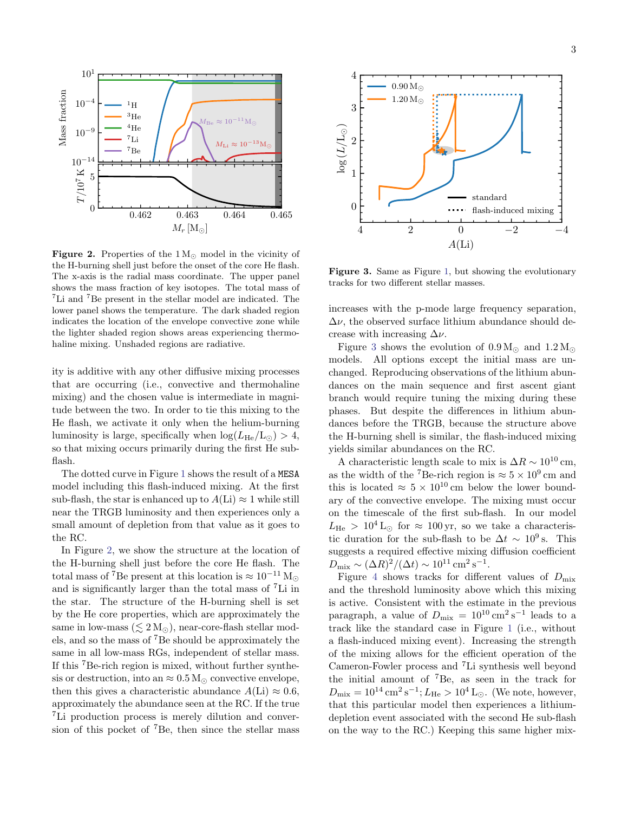

<span id="page-2-0"></span>Figure 2. Properties of the  $1\,\mathrm{M}_\odot$  model in the vicinity of the H-burning shell just before the onset of the core He flash. The x-axis is the radial mass coordinate. The upper panel shows the mass fraction of key isotopes. The total mass of <sup>7</sup>Li and <sup>7</sup>Be present in the stellar model are indicated. The lower panel shows the temperature. The dark shaded region indicates the location of the envelope convective zone while the lighter shaded region shows areas experiencing thermohaline mixing. Unshaded regions are radiative.

ity is additive with any other diffusive mixing processes that are occurring (i.e., convective and thermohaline mixing) and the chosen value is intermediate in magnitude between the two. In order to tie this mixing to the He flash, we activate it only when the helium-burning luminosity is large, specifically when  $\log(L_{\rm He}/L_{\odot}) > 4$ , so that mixing occurs primarily during the first He subflash.

The dotted curve in Figure [1](#page-0-1) shows the result of a MESA model including this flash-induced mixing. At the first sub-flash, the star is enhanced up to  $A(Li) \approx 1$  while still near the TRGB luminosity and then experiences only a small amount of depletion from that value as it goes to the RC.

In Figure [2,](#page-2-0) we show the structure at the location of the H-burning shell just before the core He flash. The total mass of <sup>7</sup>Be present at this location is  $\approx 10^{-11}$  M<sub> $\odot$ </sub> and is significantly larger than the total mass of <sup>7</sup>Li in the star. The structure of the H-burning shell is set by the He core properties, which are approximately the same in low-mass  $(\leq 2 M_{\odot})$ , near-core-flash stellar models, and so the mass of <sup>7</sup>Be should be approximately the same in all low-mass RGs, independent of stellar mass. If this <sup>7</sup>Be-rich region is mixed, without further synthesis or destruction, into an  $\approx 0.5 M_{\odot}$  convective envelope, then this gives a characteristic abundance  $A(Li) \approx 0.6$ , approximately the abundance seen at the RC. If the true <sup>7</sup>Li production process is merely dilution and conversion of this pocket of  ${}^{7}Be$ , then since the stellar mass



<span id="page-2-1"></span>Figure 3. Same as Figure [1,](#page-0-1) but showing the evolutionary tracks for two different stellar masses.

increases with the p-mode large frequency separation,  $\Delta \nu$ , the observed surface lithium abundance should decrease with increasing  $\Delta \nu$ .

Figure [3](#page-2-1) shows the evolution of  $0.9 M_{\odot}$  and  $1.2 M_{\odot}$ models. All options except the initial mass are unchanged. Reproducing observations of the lithium abundances on the main sequence and first ascent giant branch would require tuning the mixing during these phases. But despite the differences in lithium abundances before the TRGB, because the structure above the H-burning shell is similar, the flash-induced mixing yields similar abundances on the RC.

A characteristic length scale to mix is  $\Delta R \sim 10^{10}$  cm, as the width of the <sup>7</sup>Be-rich region is  $\approx 5 \times 10^9$  cm and this is located  $\approx 5 \times 10^{10}$  cm below the lower boundary of the convective envelope. The mixing must occur on the timescale of the first sub-flash. In our model  $L_{\text{He}} > 10^4 \text{ L}_{\odot}$  for  $\approx 100 \text{ yr}$ , so we take a characteristic duration for the sub-flash to be  $\Delta t \sim 10^9$  s. This suggests a required effective mixing diffusion coefficient  $D_{\text{mix}} \sim (\Delta R)^2 / (\Delta t) \sim 10^{11} \text{ cm}^2 \text{ s}^{-1}.$ 

Figure [4](#page-3-0) shows tracks for different values of  $D_{\text{mix}}$ and the threshold luminosity above which this mixing is active. Consistent with the estimate in the previous paragraph, a value of  $D_{\text{mix}} = 10^{10} \text{ cm}^2 \text{ s}^{-1}$  leads to a track like the standard case in Figure [1](#page-0-1) (i.e., without a flash-induced mixing event). Increasing the strength of the mixing allows for the efficient operation of the Cameron-Fowler process and <sup>7</sup>Li synthesis well beyond the initial amount of <sup>7</sup>Be, as seen in the track for  $D_{\text{mix}} = 10^{14} \text{ cm}^2 \text{ s}^{-1}$ ;  $L_{\text{He}} > 10^4 \text{ L}_{\odot}$ . (We note, however, that this particular model then experiences a lithiumdepletion event associated with the second He sub-flash on the way to the RC.) Keeping this same higher mix-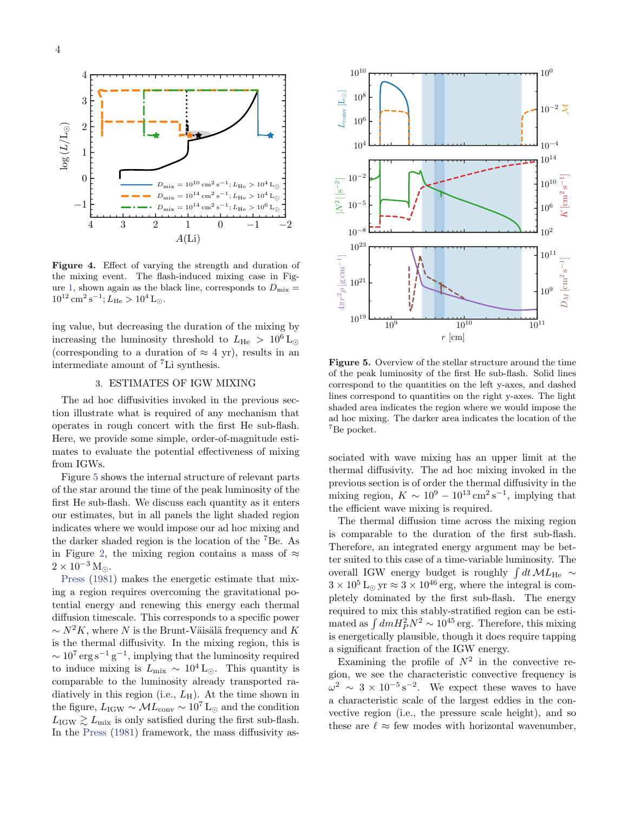

<span id="page-3-0"></span>Figure 4. Effect of varying the strength and duration of the mixing event. The flash-induced mixing case in Fig-ure [1,](#page-0-1) shown again as the black line, corresponds to  $D_{\text{mix}} =$  $10^{12}$  cm<sup>2</sup> s<sup>-1</sup>;  $L_{\text{He}} > 10^4$  L<sub>☉</sub>.

ing value, but decreasing the duration of the mixing by increasing the luminosity threshold to  $L_{\text{He}} > 10^6 \text{ L}_{\odot}$ (corresponding to a duration of  $\approx 4$  yr), results in an intermediate amount of <sup>7</sup>Li synthesis.

### 3. ESTIMATES OF IGW MIXING

The ad hoc diffusivities invoked in the previous section illustrate what is required of any mechanism that operates in rough concert with the first He sub-flash. Here, we provide some simple, order-of-magnitude estimates to evaluate the potential effectiveness of mixing from IGWs.

Figure [5](#page-3-1) shows the internal structure of relevant parts of the star around the time of the peak luminosity of the first He sub-flash. We discuss each quantity as it enters our estimates, but in all panels the light shaded region indicates where we would impose our ad hoc mixing and the darker shaded region is the location of the <sup>7</sup>Be. As in Figure [2,](#page-2-0) the mixing region contains a mass of  $\approx$  $2 \times 10^{-3}$  M<sub> $\odot$ </sub>.

[Press](#page-5-28) [\(1981\)](#page-5-28) makes the energetic estimate that mixing a region requires overcoming the gravitational potential energy and renewing this energy each thermal diffusion timescale. This corresponds to a specific power  $\sim N^2K$ , where N is the Brunt-Väisälä frequency and K is the thermal diffusivity. In the mixing region, this is  $\sim 10^7 \,\text{erg}\,\text{s}^{-1}\,\text{g}^{-1}$ , implying that the luminosity required to induce mixing is  $L_{\text{mix}} \sim 10^4 \,\text{L}_{\odot}$ . This quantity is comparable to the luminosity already transported radiatively in this region (i.e.,  $L_{\rm H}$ ). At the time shown in the figure,  $L_{\text{IGW}} \sim \mathcal{M}L_{\text{conv}} \sim 10^7 \text{ L}_{\odot}$  and the condition  $L_{\text{IGW}} \geq L_{\text{mix}}$  is only satisfied during the first sub-flash. In the [Press](#page-5-28) [\(1981\)](#page-5-28) framework, the mass diffusivity as-



<span id="page-3-1"></span>Figure 5. Overview of the stellar structure around the time of the peak luminosity of the first He sub-flash. Solid lines correspond to the quantities on the left y-axes, and dashed lines correspond to quantities on the right y-axes. The light shaded area indicates the region where we would impose the ad hoc mixing. The darker area indicates the location of the <sup>7</sup>Be pocket.

sociated with wave mixing has an upper limit at the thermal diffusivity. The ad hoc mixing invoked in the previous section is of order the thermal diffusivity in the mixing region,  $K \sim 10^9 - 10^{13} \,\mathrm{cm}^2 \,\mathrm{s}^{-1}$ , implying that the efficient wave mixing is required.

The thermal diffusion time across the mixing region is comparable to the duration of the first sub-flash. Therefore, an integrated energy argument may be better suited to this case of a time-variable luminosity. The overall IGW energy budget is roughly  $\int dt \mathcal{M}L_{\text{He}} \sim$  $3 \times 10^5$  L<sub>☉</sub> yr  $\approx 3 \times 10^{46}$  erg, where the integral is completely dominated by the first sub-flash. The energy required to mix this stably-stratified region can be estimated as  $\int dm H_P^2 N^2 \sim 10^{45}$  erg. Therefore, this mixing is energetically plausible, though it does require tapping a significant fraction of the IGW energy.

Examining the profile of  $N^2$  in the convective region, we see the characteristic convective frequency is  $\omega^2 \sim 3 \times 10^{-5} \,\mathrm{s}^{-2}$ . We expect these waves to have a characteristic scale of the largest eddies in the convective region (i.e., the pressure scale height), and so these are  $\ell \approx$  few modes with horizontal wavenumber,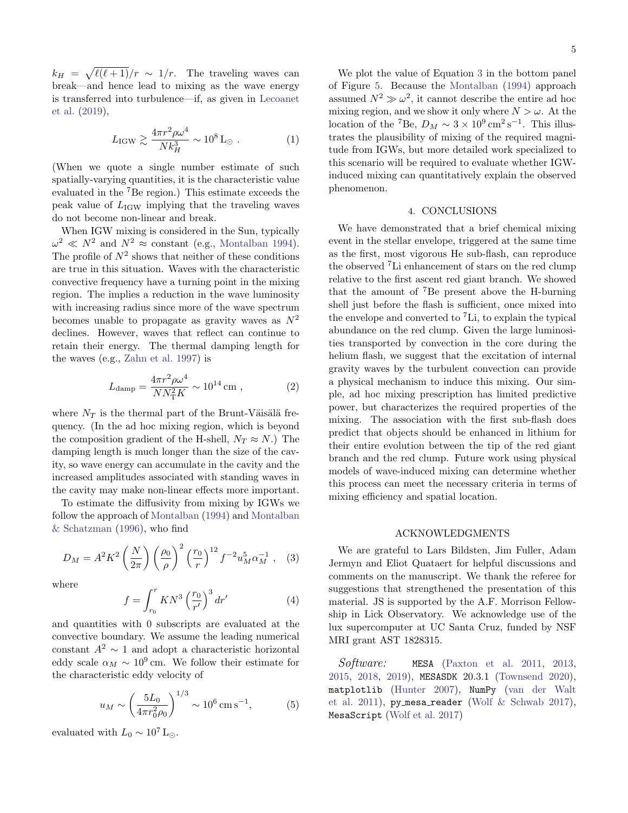$k_H = \sqrt{\ell(\ell+1)}/r \sim 1/r$ . The traveling waves can break—and hence lead to mixing as the wave energy is transferred into turbulence—if, as given in [Lecoanet](#page-5-34) [et al.](#page-5-34) [\(2019\)](#page-5-34),

$$
L_{\rm IGW} \gtrsim \frac{4\pi r^2 \rho \omega^4}{N k_H^3} \sim 10^8 \,\text{L}_{\odot} \ . \tag{1}
$$

(When we quote a single number estimate of such spatially-varying quantities, it is the characteristic value evaluated in the <sup>7</sup>Be region.) This estimate exceeds the peak value of  $L_{\text{IGW}}$  implying that the traveling waves do not become non-linear and break.

When IGW mixing is considered in the Sun, typically  $\omega^2 \ll N^2$  and  $N^2 \approx$  constant (e.g., [Montalban](#page-5-33) [1994\)](#page-5-33). The profile of  $N^2$  shows that neither of these conditions are true in this situation. Waves with the characteristic convective frequency have a turning point in the mixing region. The implies a reduction in the wave luminosity with increasing radius since more of the wave spectrum becomes unable to propagate as gravity waves as  $N^2$ declines. However, waves that reflect can continue to retain their energy. The thermal damping length for the waves (e.g., [Zahn et al.](#page-5-35) [1997\)](#page-5-35) is

$$
L_{\rm damp} = \frac{4\pi r^2 \rho \omega^4}{N N_{\rm T}^2 K} \sim 10^{14} \,\text{cm} \,, \tag{2}
$$

where  $N_T$  is the thermal part of the Brunt-Väisälä frequency. (In the ad hoc mixing region, which is beyond the composition gradient of the H-shell,  $N_T \approx N$ .) The damping length is much longer than the size of the cavity, so wave energy can accumulate in the cavity and the increased amplitudes associated with standing waves in the cavity may make non-linear effects more important.

To estimate the diffusivity from mixing by IGWs we follow the approach of [Montalban](#page-5-33) [\(1994\)](#page-5-33) and [Montalban](#page-5-36) [& Schatzman](#page-5-36) [\(1996\)](#page-5-36), who find

$$
D_M = A^2 K^2 \left(\frac{N}{2\pi}\right) \left(\frac{\rho_0}{\rho}\right)^2 \left(\frac{r_0}{r}\right)^{12} f^{-2} u_M^5 \alpha_M^{-1} , \quad (3)
$$

where

<span id="page-4-0"></span>
$$
f = \int_{r_0}^{r} KN^3 \left(\frac{r_0}{r'}\right)^3 dr' \tag{4}
$$

and quantities with 0 subscripts are evaluated at the convective boundary. We assume the leading numerical constant  $A^2 \sim 1$  and adopt a characteristic horizontal eddy scale  $\alpha_M \sim 10^9$  cm. We follow their estimate for the characteristic eddy velocity of

$$
u_M \sim \left(\frac{5L_0}{4\pi r_0^2 \rho_0}\right)^{1/3} \sim 10^6 \,\text{cm s}^{-1},\tag{5}
$$

evaluated with  $L_0 \sim 10^7$  L<sub>☉</sub>.

We plot the value of Equation [3](#page-4-0) in the bottom panel of Figure [5.](#page-3-1) Because the [Montalban](#page-5-33) [\(1994\)](#page-5-33) approach assumed  $N^2 \gg \omega^2$ , it cannot describe the entire ad hoc mixing region, and we show it only where  $N > \omega$ . At the location of the <sup>7</sup>Be,  $D_M \sim 3 \times 10^9 \,\mathrm{cm}^2 \,\mathrm{s}^{-1}$ . This illustrates the plausibility of mixing of the required magnitude from IGWs, but more detailed work specialized to this scenario will be required to evaluate whether IGWinduced mixing can quantitatively explain the observed phenomenon.

#### 4. CONCLUSIONS

We have demonstrated that a brief chemical mixing event in the stellar envelope, triggered at the same time as the first, most vigorous He sub-flash, can reproduce the observed <sup>7</sup>Li enhancement of stars on the red clump relative to the first ascent red giant branch. We showed that the amount of <sup>7</sup>Be present above the H-burning shell just before the flash is sufficient, once mixed into the envelope and converted to  ${}^{7}$ Li, to explain the typical abundance on the red clump. Given the large luminosities transported by convection in the core during the helium flash, we suggest that the excitation of internal gravity waves by the turbulent convection can provide a physical mechanism to induce this mixing. Our simple, ad hoc mixing prescription has limited predictive power, but characterizes the required properties of the mixing. The association with the first sub-flash does predict that objects should be enhanced in lithium for their entire evolution between the tip of the red giant branch and the red clump. Future work using physical models of wave-induced mixing can determine whether this process can meet the necessary criteria in terms of mixing efficiency and spatial location.

# ACKNOWLEDGMENTS

We are grateful to Lars Bildsten, Jim Fuller, Adam Jermyn and Eliot Quataert for helpful discussions and comments on the manuscript. We thank the referee for suggestions that strengthened the presentation of this material. JS is supported by the A.F. Morrison Fellowship in Lick Observatory. We acknowledge use of the lux supercomputer at UC Santa Cruz, funded by NSF MRI grant AST 1828315.

Software: MESA [\(Paxton et al.](#page-5-10) [2011,](#page-5-10) [2013,](#page-5-11) [2015,](#page-5-12) [2018,](#page-5-13) [2019\)](#page-5-14), MESASDK 20.3.1 [\(Townsend](#page-5-37) [2020\)](#page-5-37), matplotlib [\(Hunter](#page-5-38) [2007\)](#page-5-38), NumPy [\(van der Walt](#page-5-39) [et al.](#page-5-39) [2011\)](#page-5-39), py mesa reader (Wolf  $\&$  Schwab [2017\)](#page-5-40), MesaScript [\(Wolf et al.](#page-5-41) [2017\)](#page-5-41)